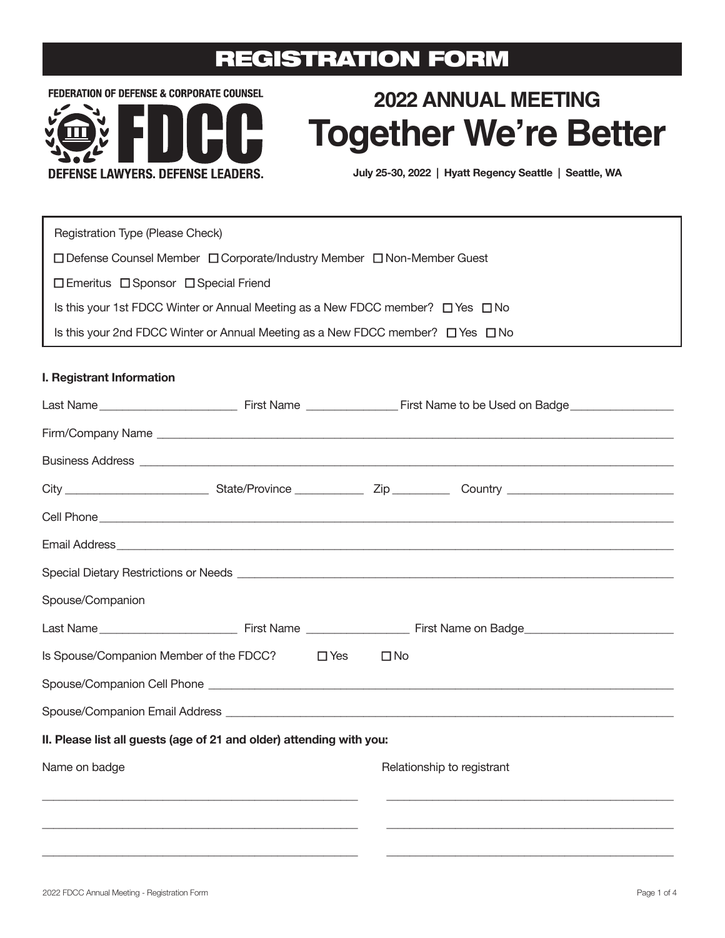## REGISTRATION FORM

**FEDERATION OF DEFENSE & CORPORATE COUNSEL** 



# **2022 ANNUAL MEETING Together We're Better**

July 25-30, 2022 | Hyatt Regency Seattle | Seattle, WA

Registration Type (Please Check)

□ Defense Counsel Member □ Corporate/Industry Member □ Non-Member Guest

 $\square$  Emeritus  $\square$  Sponsor  $\square$  Special Friend

Is this your 1st FDCC Winter or Annual Meeting as a New FDCC member?  $\Box$  Yes  $\Box$  No

Is this your 2nd FDCC Winter or Annual Meeting as a New FDCC member?  $\Box$  Yes  $\Box$  No

### **I. Registrant Information**

|                                                                      |  |            | Business Address <b>Address Address Address Address Address Address Address Address Address Address Address Address Address Address Address Address Address Address Address Address Addr</b>                                         |  |  |  |
|----------------------------------------------------------------------|--|------------|--------------------------------------------------------------------------------------------------------------------------------------------------------------------------------------------------------------------------------------|--|--|--|
|                                                                      |  |            |                                                                                                                                                                                                                                      |  |  |  |
|                                                                      |  |            |                                                                                                                                                                                                                                      |  |  |  |
|                                                                      |  |            |                                                                                                                                                                                                                                      |  |  |  |
|                                                                      |  |            | Special Dietary Restrictions or Needs <b>contract to the Contract of Australian Contract of Australian Contract of Australian Contract of Australian Contract of Australian Contract of Australian Contract of Australian Contra</b> |  |  |  |
| Spouse/Companion                                                     |  |            |                                                                                                                                                                                                                                      |  |  |  |
|                                                                      |  |            |                                                                                                                                                                                                                                      |  |  |  |
| Is Spouse/Companion Member of the FDCC?                              |  | $\Box$ Yes | $\square$ No                                                                                                                                                                                                                         |  |  |  |
|                                                                      |  |            |                                                                                                                                                                                                                                      |  |  |  |
|                                                                      |  |            |                                                                                                                                                                                                                                      |  |  |  |
| II. Please list all guests (age of 21 and older) attending with you: |  |            |                                                                                                                                                                                                                                      |  |  |  |
| Name on badge                                                        |  |            | Relationship to registrant                                                                                                                                                                                                           |  |  |  |
| <u> 1989 - John Stone, amerikansk politiker (d. 1989)</u>            |  |            |                                                                                                                                                                                                                                      |  |  |  |
|                                                                      |  |            |                                                                                                                                                                                                                                      |  |  |  |
|                                                                      |  |            |                                                                                                                                                                                                                                      |  |  |  |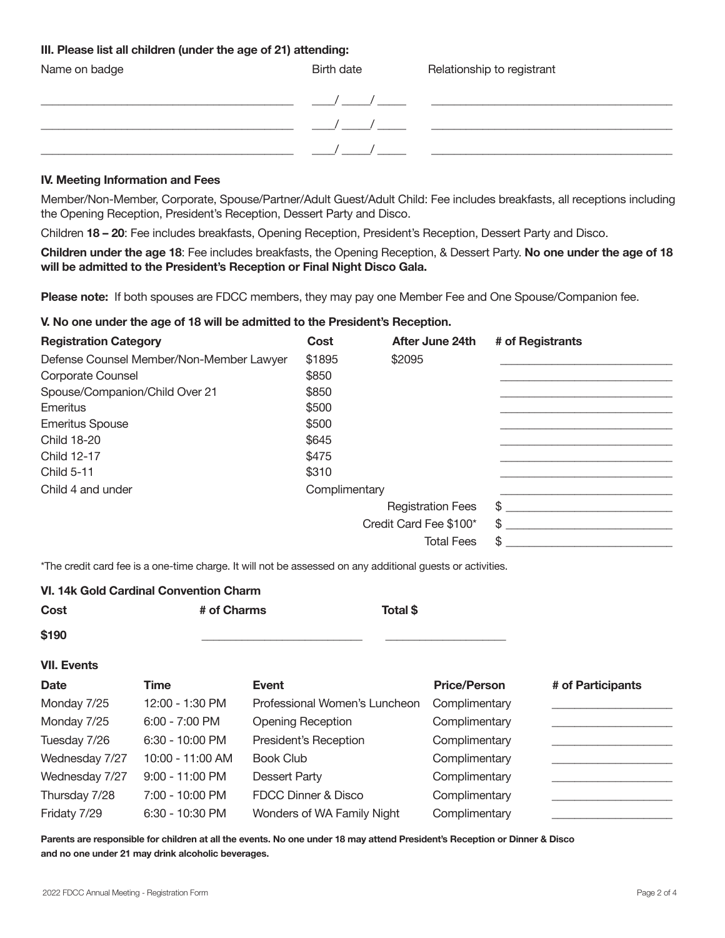### **III. Please list all children (under the age of 21) attending:**

| Name on badge | Birth date | Relationship to registrant |
|---------------|------------|----------------------------|
|               |            |                            |
|               |            |                            |
|               |            |                            |

#### **IV. Meeting Information and Fees**

Member/Non-Member, Corporate, Spouse/Partner/Adult Guest/Adult Child: Fee includes breakfasts, all receptions including the Opening Reception, President's Reception, Dessert Party and Disco.

Children **18 – 20**: Fee includes breakfasts, Opening Reception, President's Reception, Dessert Party and Disco.

**Children under the age 18**: Fee includes breakfasts, the Opening Reception, & Dessert Party. **No one under the age of 18 will be admitted to the President's Reception or Final Night Disco Gala.**

**Please note:** If both spouses are FDCC members, they may pay one Member Fee and One Spouse/Companion fee.

### **V. No one under the age of 18 will be admitted to the President's Reception.**

| <b>Registration Category</b>             | Cost          | After June 24th          | # of Registrants |
|------------------------------------------|---------------|--------------------------|------------------|
| Defense Counsel Member/Non-Member Lawyer | \$1895        | \$2095                   |                  |
| Corporate Counsel                        | \$850         |                          |                  |
| Spouse/Companion/Child Over 21           | \$850         |                          |                  |
| Emeritus                                 | \$500         |                          |                  |
| <b>Emeritus Spouse</b>                   | \$500         |                          |                  |
| <b>Child 18-20</b>                       | \$645         |                          |                  |
| Child 12-17                              | \$475         |                          |                  |
| <b>Child 5-11</b>                        | \$310         |                          |                  |
| Child 4 and under                        | Complimentary |                          |                  |
|                                          |               | <b>Registration Fees</b> | \$               |
|                                          |               | Credit Card Fee \$100*   | \$               |
|                                          |               | <b>Total Fees</b>        | \$               |

\*The credit card fee is a one-time charge. It will not be assessed on any additional guests or activities.

### **VI. 14k Gold Cardinal Convention Charm Cost # of Charms Total \$ \$190** \_\_\_\_\_\_\_\_\_\_\_\_\_\_\_\_\_\_\_\_\_\_\_\_\_\_\_\_ \_\_\_\_\_\_\_\_\_\_\_\_\_\_\_\_\_\_\_\_\_ **VII. Events Date Time Event Price/Person # of Participants**  Monday 7/25 12:00 - 1:30 PM Professional Women's Luncheon Complimentary Monday 7/25 6:00 - 7:00 PM Opening Reception Complimentary Tuesday  $7/26$  6:30 - 10:00 PM President's Reception Complimentary Wednesday 7/27 10:00 - 11:00 AM Book Club Complimentary Wednesday 7/27 9:00 - 11:00 PM Dessert Party Complimentary Complimentary Thursday 7/28 7:00 - 10:00 PM FDCC Dinner & Disco Complimentary Fridaty 7/29 6:30 - 10:30 PM Wonders of WA Family Night Complimentary

**Parents are responsible for children at all the events. No one under 18 may attend President's Reception or Dinner & Disco and no one under 21 may drink alcoholic beverages.**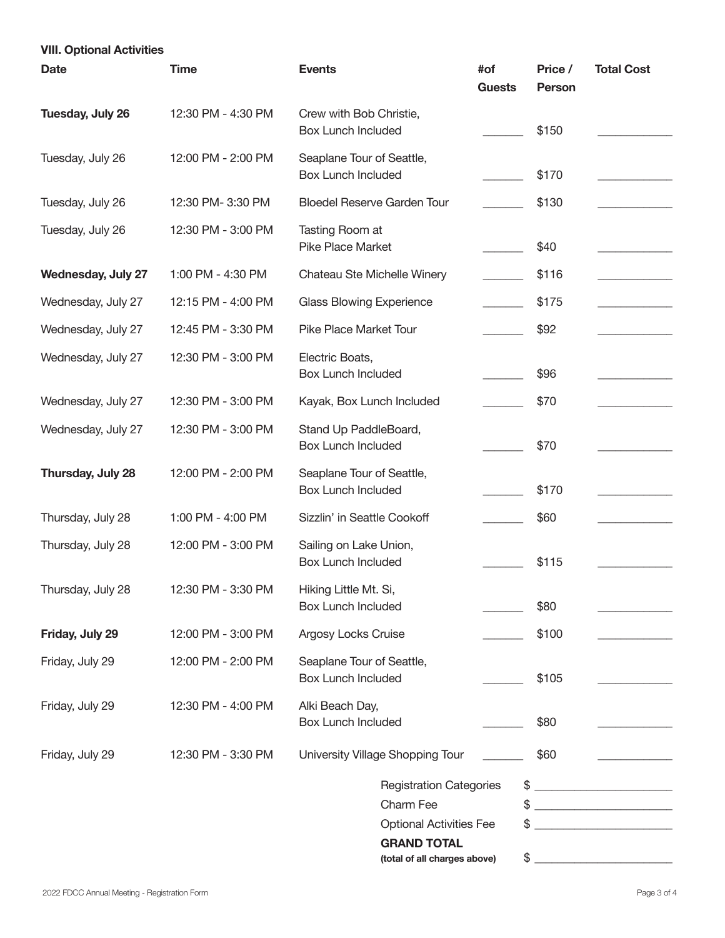| <b>VIII. Optional Activities</b> |                                                        |                      |                                                                                                  |                                                                                                                             |  |
|----------------------------------|--------------------------------------------------------|----------------------|--------------------------------------------------------------------------------------------------|-----------------------------------------------------------------------------------------------------------------------------|--|
| <b>Time</b>                      | <b>Events</b>                                          | #of<br><b>Guests</b> | Price /<br><b>Person</b>                                                                         | <b>Total Cost</b>                                                                                                           |  |
| 12:30 PM - 4:30 PM               | Crew with Bob Christie,<br><b>Box Lunch Included</b>   |                      | \$150                                                                                            |                                                                                                                             |  |
| 12:00 PM - 2:00 PM               | Seaplane Tour of Seattle,<br><b>Box Lunch Included</b> |                      | \$170                                                                                            |                                                                                                                             |  |
| 12:30 PM- 3:30 PM                | <b>Bloedel Reserve Garden Tour</b>                     |                      | \$130                                                                                            |                                                                                                                             |  |
| 12:30 PM - 3:00 PM               | Tasting Room at<br><b>Pike Place Market</b>            |                      | \$40                                                                                             |                                                                                                                             |  |
| 1:00 PM - 4:30 PM                | Chateau Ste Michelle Winery                            |                      | \$116                                                                                            |                                                                                                                             |  |
| 12:15 PM - 4:00 PM               | <b>Glass Blowing Experience</b>                        |                      | \$175                                                                                            |                                                                                                                             |  |
| 12:45 PM - 3:30 PM               | Pike Place Market Tour                                 |                      | \$92                                                                                             |                                                                                                                             |  |
| 12:30 PM - 3:00 PM               | Electric Boats,<br><b>Box Lunch Included</b>           |                      | \$96                                                                                             |                                                                                                                             |  |
| 12:30 PM - 3:00 PM               | Kayak, Box Lunch Included                              |                      | \$70                                                                                             |                                                                                                                             |  |
| 12:30 PM - 3:00 PM               | Stand Up PaddleBoard,<br><b>Box Lunch Included</b>     |                      | \$70                                                                                             |                                                                                                                             |  |
| 12:00 PM - 2:00 PM               | Seaplane Tour of Seattle,<br><b>Box Lunch Included</b> |                      | \$170                                                                                            |                                                                                                                             |  |
| 1:00 PM - 4:00 PM                | Sizzlin' in Seattle Cookoff                            |                      | \$60                                                                                             |                                                                                                                             |  |
| 12:00 PM - 3:00 PM               | Sailing on Lake Union,<br><b>Box Lunch Included</b>    |                      | \$115                                                                                            |                                                                                                                             |  |
| 12:30 PM - 3:30 PM               | Hiking Little Mt. Si,<br><b>Box Lunch Included</b>     |                      | \$80                                                                                             |                                                                                                                             |  |
| 12:00 PM - 3:00 PM               | Argosy Locks Cruise                                    |                      | \$100                                                                                            |                                                                                                                             |  |
| 12:00 PM - 2:00 PM               | Seaplane Tour of Seattle,<br><b>Box Lunch Included</b> |                      | \$105                                                                                            |                                                                                                                             |  |
| 12:30 PM - 4:00 PM               | Alki Beach Day,<br><b>Box Lunch Included</b>           |                      | \$80                                                                                             |                                                                                                                             |  |
| 12:30 PM - 3:30 PM               | University Village Shopping Tour                       |                      | \$60                                                                                             |                                                                                                                             |  |
|                                  | Charm Fee<br><b>GRAND TOTAL</b>                        |                      |                                                                                                  | $\frac{1}{2}$<br><u> 1989 - Johann Barn, mars ann an t-Amhain</u><br><u> 1980 - Andrea Station, Amerikaansk politiker (</u> |  |
|                                  |                                                        |                      | <b>Registration Categories</b><br><b>Optional Activities Fee</b><br>(total of all charges above) | \$<br>\$                                                                                                                    |  |